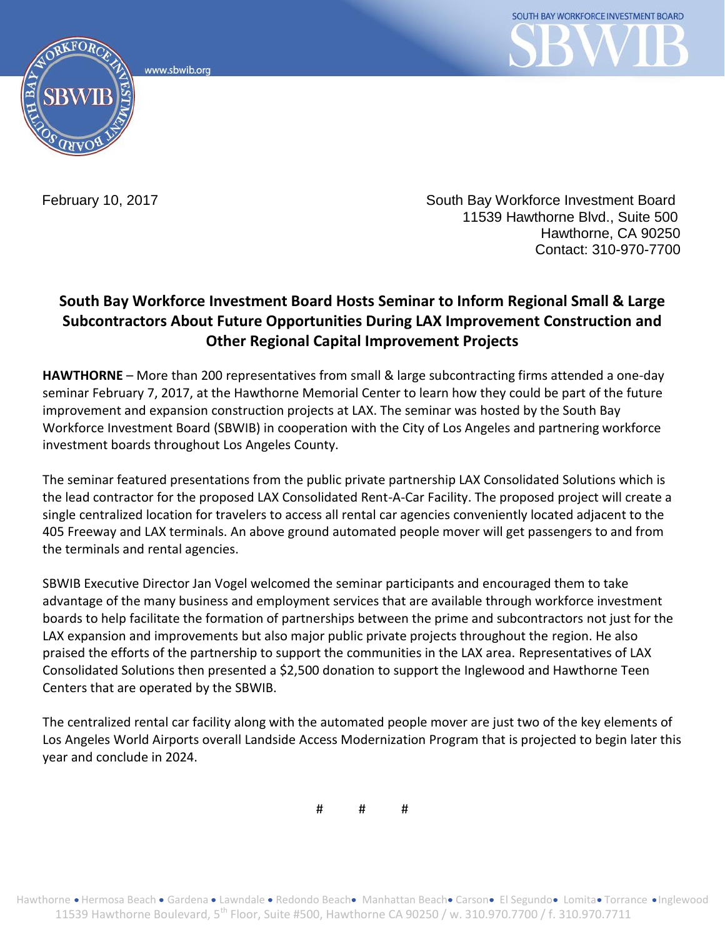www.sbwib.ord



February 10, 2017

South Bay Workforce Investment Board 11539 Hawthorne Blvd., Suite 500 Hawthorne, CA 90250 Contact: 310-970-7700

## **South Bay Workforce Investment Board Hosts Seminar to Inform Regional Small & Large Subcontractors About Future Opportunities During LAX Improvement Construction and Other Regional Capital Improvement Projects**

**HAWTHORNE** – More than 200 representatives from small & large subcontracting firms attended a one-day seminar February 7, 2017, at the Hawthorne Memorial Center to learn how they could be part of the future improvement and expansion construction projects at LAX. The seminar was hosted by the South Bay Workforce Investment Board (SBWIB) in cooperation with the City of Los Angeles and partnering workforce investment boards throughout Los Angeles County.

The seminar featured presentations from the public private partnership LAX Consolidated Solutions which is the lead contractor for the proposed LAX Consolidated Rent-A-Car Facility. The proposed project will create a single centralized location for travelers to access all rental car agencies conveniently located adjacent to the 405 Freeway and LAX terminals. An above ground automated people mover will get passengers to and from the terminals and rental agencies.

SBWIB Executive Director Jan Vogel welcomed the seminar participants and encouraged them to take advantage of the many business and employment services that are available through workforce investment boards to help facilitate the formation of partnerships between the prime and subcontractors not just for the LAX expansion and improvements but also major public private projects throughout the region. He also praised the efforts of the partnership to support the communities in the LAX area. Representatives of LAX Consolidated Solutions then presented a \$2,500 donation to support the Inglewood and Hawthorne Teen Centers that are operated by the SBWIB.

The centralized rental car facility along with the automated people mover are just two of the key elements of Los Angeles World Airports overall Landside Access Modernization Program that is projected to begin later this year and conclude in 2024.

# # #